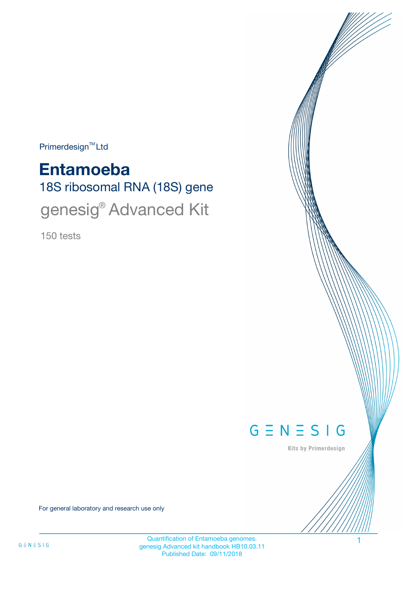$Primerdesign^{\text{TM}}Ltd$ 

18S ribosomal RNA (18S) gene **Entamoeba** genesig® Advanced Kit

150 tests



Kits by Primerdesign

For general laboratory and research use only

Quantification of Entamoeba genomes. genesig Advanced kit handbook HB10.03.11 Published Date: 09/11/2018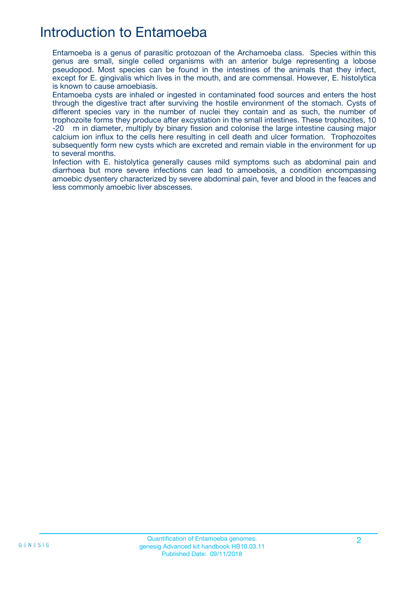## Introduction to Entamoeba

Entamoeba is a genus of parasitic protozoan of the Archamoeba class. Species within this genus are small, single celled organisms with an anterior bulge representing a lobose pseudopod. Most species can be found in the intestines of the animals that they infect, except for E. gingivalis which lives in the mouth, and are commensal. However, E. histolytica is known to cause amoebiasis.

Entamoeba cysts are inhaled or ingested in contaminated food sources and enters the host through the digestive tract after surviving the hostile environment of the stomach. Cysts of different species vary in the number of nuclei they contain and as such, the number of trophozoite forms they produce after excystation in the small intestines. These trophozites, 10 -20 m in diameter, multiply by binary fission and colonise the large intestine causing major calcium ion influx to the cells here resulting in cell death and ulcer formation. Trophozoites subsequently form new cysts which are excreted and remain viable in the environment for up to several months.

Infection with E. histolytica generally causes mild symptoms such as abdominal pain and diarrhoea but more severe infections can lead to amoebosis, a condition encompassing amoebic dysentery characterized by severe abdominal pain, fever and blood in the feaces and less commonly amoebic liver abscesses.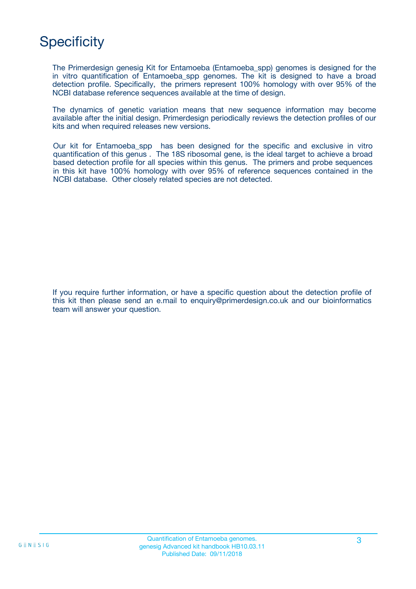# **Specificity**

The Primerdesign genesig Kit for Entamoeba (Entamoeba\_spp) genomes is designed for the in vitro quantification of Entamoeba spp genomes. The kit is designed to have a broad detection profile. Specifically, the primers represent 100% homology with over 95% of the NCBI database reference sequences available at the time of design.

The dynamics of genetic variation means that new sequence information may become available after the initial design. Primerdesign periodically reviews the detection profiles of our kits and when required releases new versions.

Our kit for Entamoeba\_spp has been designed for the specific and exclusive in vitro quantification of this genus . The 18S ribosomal gene, is the ideal target to achieve a broad based detection profile for all species within this genus. The primers and probe sequences in this kit have 100% homology with over 95% of reference sequences contained in the NCBI database. Other closely related species are not detected.

If you require further information, or have a specific question about the detection profile of this kit then please send an e.mail to enquiry@primerdesign.co.uk and our bioinformatics team will answer your question.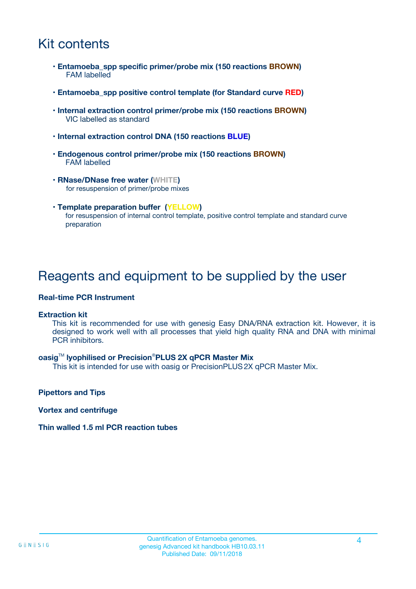## Kit contents

- **Entamoeba\_spp specific primer/probe mix (150 reactions BROWN)** FAM labelled
- **Entamoeba\_spp positive control template (for Standard curve RED)**
- **Internal extraction control primer/probe mix (150 reactions BROWN)** VIC labelled as standard
- **Internal extraction control DNA (150 reactions BLUE)**
- **Endogenous control primer/probe mix (150 reactions BROWN)** FAM labelled
- **RNase/DNase free water (WHITE)** for resuspension of primer/probe mixes
- **Template preparation buffer (YELLOW)** for resuspension of internal control template, positive control template and standard curve preparation

### Reagents and equipment to be supplied by the user

#### **Real-time PCR Instrument**

#### **Extraction kit**

This kit is recommended for use with genesig Easy DNA/RNA extraction kit. However, it is designed to work well with all processes that yield high quality RNA and DNA with minimal PCR inhibitors.

#### **oasig**TM **lyophilised or Precision**®**PLUS 2X qPCR Master Mix**

This kit is intended for use with oasig or PrecisionPLUS2X qPCR Master Mix.

**Pipettors and Tips**

**Vortex and centrifuge**

#### **Thin walled 1.5 ml PCR reaction tubes**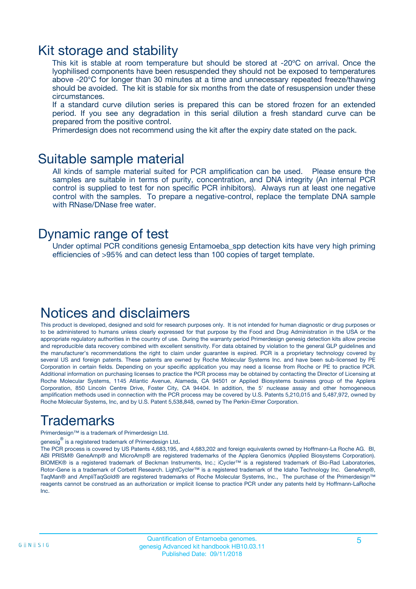### Kit storage and stability

This kit is stable at room temperature but should be stored at -20ºC on arrival. Once the lyophilised components have been resuspended they should not be exposed to temperatures above -20°C for longer than 30 minutes at a time and unnecessary repeated freeze/thawing should be avoided. The kit is stable for six months from the date of resuspension under these circumstances.

If a standard curve dilution series is prepared this can be stored frozen for an extended period. If you see any degradation in this serial dilution a fresh standard curve can be prepared from the positive control.

Primerdesign does not recommend using the kit after the expiry date stated on the pack.

### Suitable sample material

All kinds of sample material suited for PCR amplification can be used. Please ensure the samples are suitable in terms of purity, concentration, and DNA integrity (An internal PCR control is supplied to test for non specific PCR inhibitors). Always run at least one negative control with the samples. To prepare a negative-control, replace the template DNA sample with RNase/DNase free water.

### Dynamic range of test

Under optimal PCR conditions genesig Entamoeba\_spp detection kits have very high priming efficiencies of >95% and can detect less than 100 copies of target template.

## Notices and disclaimers

This product is developed, designed and sold for research purposes only. It is not intended for human diagnostic or drug purposes or to be administered to humans unless clearly expressed for that purpose by the Food and Drug Administration in the USA or the appropriate regulatory authorities in the country of use. During the warranty period Primerdesign genesig detection kits allow precise and reproducible data recovery combined with excellent sensitivity. For data obtained by violation to the general GLP guidelines and the manufacturer's recommendations the right to claim under guarantee is expired. PCR is a proprietary technology covered by several US and foreign patents. These patents are owned by Roche Molecular Systems Inc. and have been sub-licensed by PE Corporation in certain fields. Depending on your specific application you may need a license from Roche or PE to practice PCR. Additional information on purchasing licenses to practice the PCR process may be obtained by contacting the Director of Licensing at Roche Molecular Systems, 1145 Atlantic Avenue, Alameda, CA 94501 or Applied Biosystems business group of the Applera Corporation, 850 Lincoln Centre Drive, Foster City, CA 94404. In addition, the 5' nuclease assay and other homogeneous amplification methods used in connection with the PCR process may be covered by U.S. Patents 5,210,015 and 5,487,972, owned by Roche Molecular Systems, Inc, and by U.S. Patent 5,538,848, owned by The Perkin-Elmer Corporation.

# Trademarks

Primerdesign™ is a trademark of Primerdesign Ltd.

genesig $^\circledR$  is a registered trademark of Primerdesign Ltd.

The PCR process is covered by US Patents 4,683,195, and 4,683,202 and foreign equivalents owned by Hoffmann-La Roche AG. BI, ABI PRISM® GeneAmp® and MicroAmp® are registered trademarks of the Applera Genomics (Applied Biosystems Corporation). BIOMEK® is a registered trademark of Beckman Instruments, Inc.; iCycler™ is a registered trademark of Bio-Rad Laboratories, Rotor-Gene is a trademark of Corbett Research. LightCycler™ is a registered trademark of the Idaho Technology Inc. GeneAmp®, TaqMan® and AmpliTaqGold® are registered trademarks of Roche Molecular Systems, Inc., The purchase of the Primerdesign™ reagents cannot be construed as an authorization or implicit license to practice PCR under any patents held by Hoffmann-LaRoche Inc.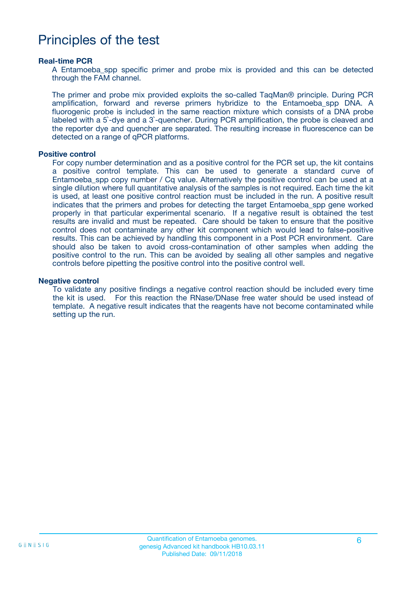## Principles of the test

#### **Real-time PCR**

A Entamoeba spp specific primer and probe mix is provided and this can be detected through the FAM channel.

The primer and probe mix provided exploits the so-called TaqMan® principle. During PCR amplification, forward and reverse primers hybridize to the Entamoeba\_spp DNA. A fluorogenic probe is included in the same reaction mixture which consists of a DNA probe labeled with a 5`-dye and a 3`-quencher. During PCR amplification, the probe is cleaved and the reporter dye and quencher are separated. The resulting increase in fluorescence can be detected on a range of qPCR platforms.

#### **Positive control**

For copy number determination and as a positive control for the PCR set up, the kit contains a positive control template. This can be used to generate a standard curve of Entamoeba spp copy number / Cq value. Alternatively the positive control can be used at a single dilution where full quantitative analysis of the samples is not required. Each time the kit is used, at least one positive control reaction must be included in the run. A positive result indicates that the primers and probes for detecting the target Entamoeba spp gene worked properly in that particular experimental scenario. If a negative result is obtained the test results are invalid and must be repeated. Care should be taken to ensure that the positive control does not contaminate any other kit component which would lead to false-positive results. This can be achieved by handling this component in a Post PCR environment. Care should also be taken to avoid cross-contamination of other samples when adding the positive control to the run. This can be avoided by sealing all other samples and negative controls before pipetting the positive control into the positive control well.

#### **Negative control**

To validate any positive findings a negative control reaction should be included every time the kit is used. For this reaction the RNase/DNase free water should be used instead of template. A negative result indicates that the reagents have not become contaminated while setting up the run.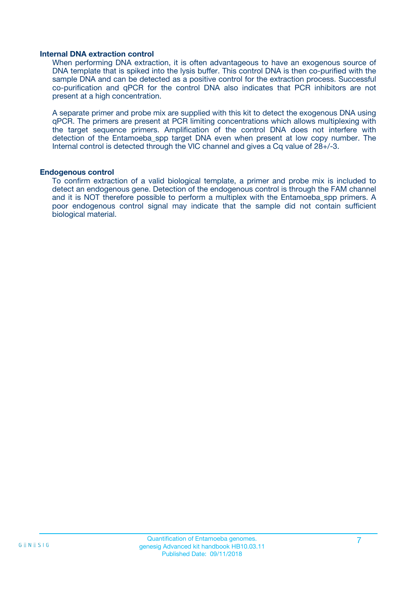#### **Internal DNA extraction control**

When performing DNA extraction, it is often advantageous to have an exogenous source of DNA template that is spiked into the lysis buffer. This control DNA is then co-purified with the sample DNA and can be detected as a positive control for the extraction process. Successful co-purification and qPCR for the control DNA also indicates that PCR inhibitors are not present at a high concentration.

A separate primer and probe mix are supplied with this kit to detect the exogenous DNA using qPCR. The primers are present at PCR limiting concentrations which allows multiplexing with the target sequence primers. Amplification of the control DNA does not interfere with detection of the Entamoeba spp target DNA even when present at low copy number. The Internal control is detected through the VIC channel and gives a Cq value of 28+/-3.

#### **Endogenous control**

To confirm extraction of a valid biological template, a primer and probe mix is included to detect an endogenous gene. Detection of the endogenous control is through the FAM channel and it is NOT therefore possible to perform a multiplex with the Entamoeba\_spp primers. A poor endogenous control signal may indicate that the sample did not contain sufficient biological material.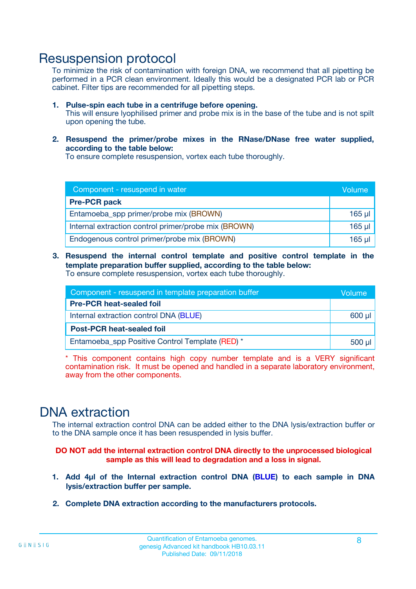### Resuspension protocol

To minimize the risk of contamination with foreign DNA, we recommend that all pipetting be performed in a PCR clean environment. Ideally this would be a designated PCR lab or PCR cabinet. Filter tips are recommended for all pipetting steps.

- **1. Pulse-spin each tube in a centrifuge before opening.** This will ensure lyophilised primer and probe mix is in the base of the tube and is not spilt upon opening the tube.
- **2. Resuspend the primer/probe mixes in the RNase/DNase free water supplied, according to the table below:**

To ensure complete resuspension, vortex each tube thoroughly.

| Component - resuspend in water                       |             |  |
|------------------------------------------------------|-------------|--|
| <b>Pre-PCR pack</b>                                  |             |  |
| Entamoeba_spp primer/probe mix (BROWN)               | $165$ µl    |  |
| Internal extraction control primer/probe mix (BROWN) | $165$ $\mu$ |  |
| Endogenous control primer/probe mix (BROWN)          | 165 µl      |  |

**3. Resuspend the internal control template and positive control template in the template preparation buffer supplied, according to the table below:** To ensure complete resuspension, vortex each tube thoroughly.

| Component - resuspend in template preparation buffer |  |  |  |
|------------------------------------------------------|--|--|--|
| <b>Pre-PCR heat-sealed foil</b>                      |  |  |  |
| Internal extraction control DNA (BLUE)               |  |  |  |
| <b>Post-PCR heat-sealed foil</b>                     |  |  |  |
| Entamoeba spp Positive Control Template (RED) *      |  |  |  |

\* This component contains high copy number template and is a VERY significant contamination risk. It must be opened and handled in a separate laboratory environment, away from the other components.

## DNA extraction

The internal extraction control DNA can be added either to the DNA lysis/extraction buffer or to the DNA sample once it has been resuspended in lysis buffer.

**DO NOT add the internal extraction control DNA directly to the unprocessed biological sample as this will lead to degradation and a loss in signal.**

- **1. Add 4µl of the Internal extraction control DNA (BLUE) to each sample in DNA lysis/extraction buffer per sample.**
- **2. Complete DNA extraction according to the manufacturers protocols.**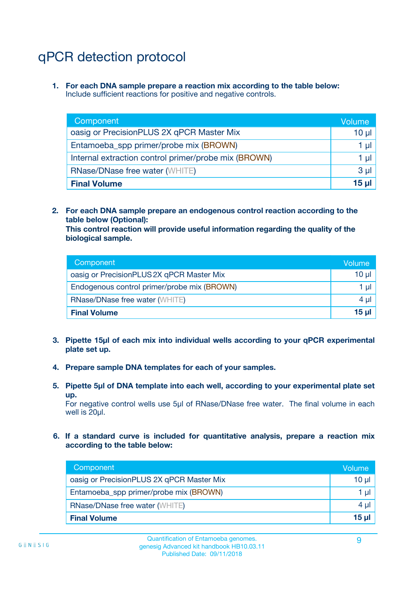# qPCR detection protocol

**1. For each DNA sample prepare a reaction mix according to the table below:** Include sufficient reactions for positive and negative controls.

| Component                                            | <b>Volume</b> |
|------------------------------------------------------|---------------|
| oasig or PrecisionPLUS 2X qPCR Master Mix            | 10 $\mu$      |
| Entamoeba_spp primer/probe mix (BROWN)               | 1 µl          |
| Internal extraction control primer/probe mix (BROWN) | 1 µl          |
| <b>RNase/DNase free water (WHITE)</b>                | $3 \mu$       |
| <b>Final Volume</b>                                  | 15 µl         |

**2. For each DNA sample prepare an endogenous control reaction according to the table below (Optional):**

**This control reaction will provide useful information regarding the quality of the biological sample.**

| Component                                   | Volume   |
|---------------------------------------------|----------|
| oasig or PrecisionPLUS 2X qPCR Master Mix   | $10 \mu$ |
| Endogenous control primer/probe mix (BROWN) | 1 µI     |
| <b>RNase/DNase free water (WHITE)</b>       | $4 \mu$  |
| <b>Final Volume</b>                         | 15 µl    |

- **3. Pipette 15µl of each mix into individual wells according to your qPCR experimental plate set up.**
- **4. Prepare sample DNA templates for each of your samples.**
- **5. Pipette 5µl of DNA template into each well, according to your experimental plate set up.**

For negative control wells use 5µl of RNase/DNase free water. The final volume in each well is 20ul.

**6. If a standard curve is included for quantitative analysis, prepare a reaction mix according to the table below:**

| Component                                 | Volume          |
|-------------------------------------------|-----------------|
| oasig or PrecisionPLUS 2X qPCR Master Mix | 10 $\mu$        |
| Entamoeba_spp primer/probe mix (BROWN)    | 1 µl I          |
| <b>RNase/DNase free water (WHITE)</b>     | $4 \mu$         |
| <b>Final Volume</b>                       | 15 <sub>µ</sub> |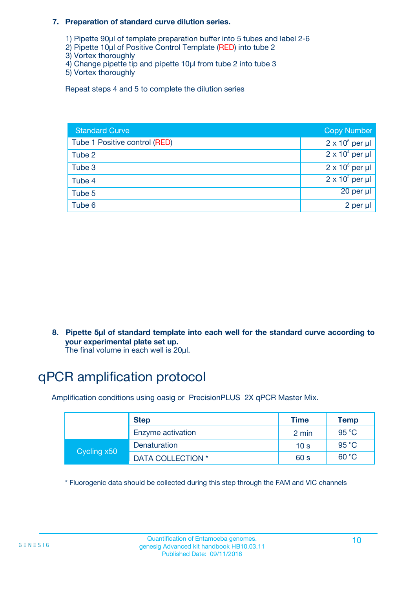#### **7. Preparation of standard curve dilution series.**

- 1) Pipette 90µl of template preparation buffer into 5 tubes and label 2-6
- 2) Pipette 10µl of Positive Control Template (RED) into tube 2
- 3) Vortex thoroughly
- 4) Change pipette tip and pipette 10µl from tube 2 into tube 3
- 5) Vortex thoroughly

Repeat steps 4 and 5 to complete the dilution series

| <b>Standard Curve</b>         | <b>Copy Number</b>     |
|-------------------------------|------------------------|
| Tube 1 Positive control (RED) | $2 \times 10^5$ per µl |
| Tube 2                        | $2 \times 10^4$ per µl |
| Tube 3                        | $2 \times 10^3$ per µl |
| Tube 4                        | $2 \times 10^2$ per µl |
| Tube 5                        | 20 per µl              |
| Tube 6                        | 2 per µl               |

**8. Pipette 5µl of standard template into each well for the standard curve according to your experimental plate set up.**

#### The final volume in each well is 20µl.

# qPCR amplification protocol

Amplification conditions using oasig or PrecisionPLUS 2X qPCR Master Mix.

|             | <b>Step</b>       | <b>Time</b>     | Temp    |
|-------------|-------------------|-----------------|---------|
|             | Enzyme activation | 2 min           | 95 °C   |
| Cycling x50 | Denaturation      | 10 <sub>s</sub> | 95 $°C$ |
|             | DATA COLLECTION * | 60 s            | 60 °C   |

\* Fluorogenic data should be collected during this step through the FAM and VIC channels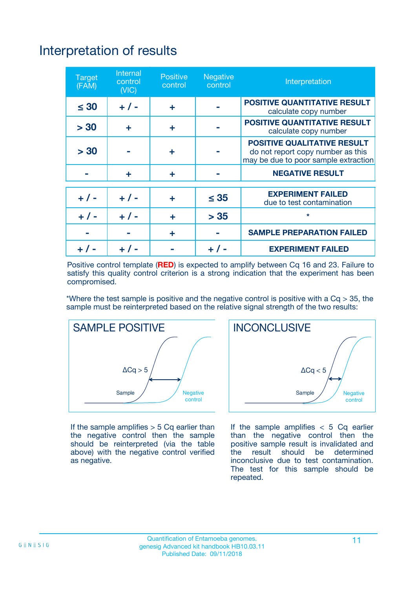# Interpretation of results

| <b>Target</b><br>(FAM) | <b>Internal</b><br>control<br>(NIC) | <b>Positive</b><br>control | <b>Negative</b><br>control | Interpretation                                                                                                  |
|------------------------|-------------------------------------|----------------------------|----------------------------|-----------------------------------------------------------------------------------------------------------------|
| $\leq 30$              | $+ 1 -$                             | ÷                          |                            | <b>POSITIVE QUANTITATIVE RESULT</b><br>calculate copy number                                                    |
| > 30                   | ٠                                   | ÷                          |                            | <b>POSITIVE QUANTITATIVE RESULT</b><br>calculate copy number                                                    |
| > 30                   |                                     | ÷                          |                            | <b>POSITIVE QUALITATIVE RESULT</b><br>do not report copy number as this<br>may be due to poor sample extraction |
|                        | ÷                                   | ÷                          |                            | <b>NEGATIVE RESULT</b>                                                                                          |
| $+ 1 -$                | $+ 1 -$                             | ÷                          | $\leq$ 35                  | <b>EXPERIMENT FAILED</b><br>due to test contamination                                                           |
| $+$ / -                | $+ 1 -$                             | ÷                          | > 35                       | $\star$                                                                                                         |
|                        |                                     | ÷                          |                            | <b>SAMPLE PREPARATION FAILED</b>                                                                                |
|                        |                                     |                            | $+$ /                      | <b>EXPERIMENT FAILED</b>                                                                                        |

Positive control template (**RED**) is expected to amplify between Cq 16 and 23. Failure to satisfy this quality control criterion is a strong indication that the experiment has been compromised.

\*Where the test sample is positive and the negative control is positive with a  $Ca > 35$ , the sample must be reinterpreted based on the relative signal strength of the two results:



If the sample amplifies  $> 5$  Cq earlier than the negative control then the sample should be reinterpreted (via the table above) with the negative control verified as negative.



If the sample amplifies  $< 5$  Cq earlier than the negative control then the positive sample result is invalidated and<br>the result should be determined  $the$  result should be inconclusive due to test contamination. The test for this sample should be repeated.